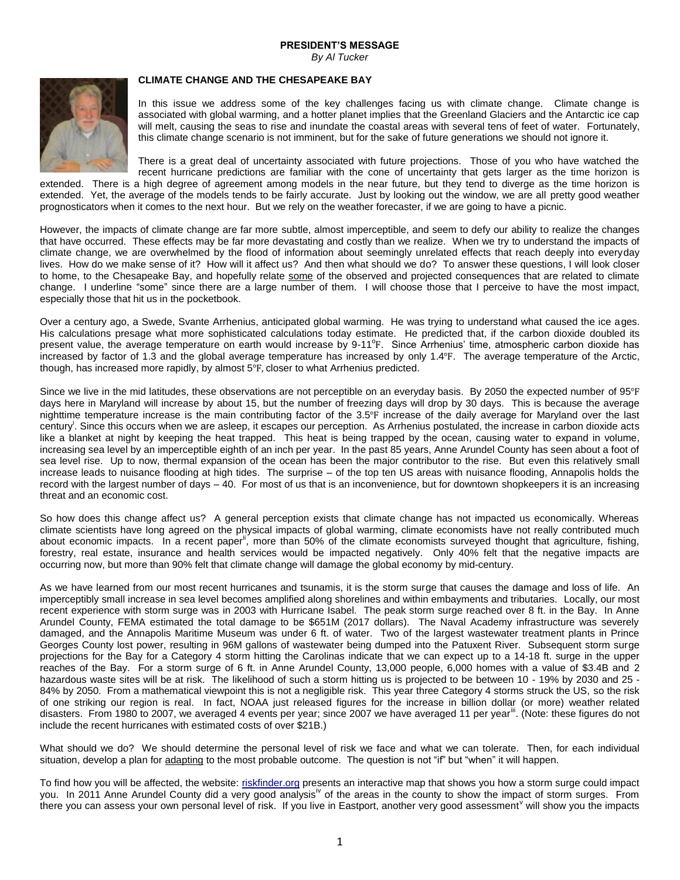## **PRESIDENT'S MESSAGE**

*By Al Tucker*



## **CLIMATE CHANGE AND THE CHESAPEAKE BAY**

In this issue we address some of the key challenges facing us with climate change. Climate change is associated with global warming, and a hotter planet implies that the Greenland Glaciers and the Antarctic ice cap will melt, causing the seas to rise and inundate the coastal areas with several tens of feet of water. Fortunately, this climate change scenario is not imminent, but for the sake of future generations we should not ignore it.

There is a great deal of uncertainty associated with future projections. Those of you who have watched the recent hurricane predictions are familiar with the cone of uncertainty that gets larger as the time horizon is

extended. There is a high degree of agreement among models in the near future, but they tend to diverge as the time horizon is extended. Yet, the average of the models tends to be fairly accurate. Just by looking out the window, we are all pretty good weather prognosticators when it comes to the next hour. But we rely on the weather forecaster, if we are going to have a picnic.

However, the impacts of climate change are far more subtle, almost imperceptible, and seem to defy our ability to realize the changes that have occurred. These effects may be far more devastating and costly than we realize. When we try to understand the impacts of climate change, we are overwhelmed by the flood of information about seemingly unrelated effects that reach deeply into everyday lives. How do we make sense of it? How will it affect us? And then what should we do? To answer these questions, I will look closer to home, to the Chesapeake Bay, and hopefully relate some of the observed and projected consequences that are related to climate change. I underline "some" since there are a large number of them. I will choose those that I perceive to have the most impact, especially those that hit us in the pocketbook.

Over a century ago, a Swede, Svante Arrhenius, anticipated global warming. He was trying to understand what caused the ice ages. His calculations presage what more sophisticated calculations today estimate. He predicted that, if the carbon dioxide doubled its present value, the average temperature on earth would increase by 9-11°F. Since Arrhenius' time, atmospheric carbon dioxide has increased by factor of 1.3 and the global average temperature has increased by only 1.4℉. The average temperature of the Arctic, though, has increased more rapidly, by almost 5℉, closer to what Arrhenius predicted.

Since we live in the mid latitudes, these observations are not perceptible on an everyday basis. By 2050 the expected number of 95°F days here in Maryland will increase by about 15, but the number of freezing days will drop by 30 days. This is because the average nighttime temperature increase is the main contributing factor of the 3.5°F increase of the daily average for Maryland over the last century<sup>i</sup>. Since this occurs when we are asleep, it escapes our perception. As Arrhenius postulated, the increase in carbon dioxide acts like a blanket at night by keeping the heat trapped. This heat is being trapped by the ocean, causing water to expand in volume, increasing sea level by an imperceptible eighth of an inch per year. In the past 85 years, Anne Arundel County has seen about a foot of sea level rise. Up to now, thermal expansion of the ocean has been the major contributor to the rise. But even this relatively small increase leads to nuisance flooding at high tides. The surprise – of the top ten US areas with nuisance flooding, Annapolis holds the record with the largest number of days – 40. For most of us that is an inconvenience, but for downtown shopkeepers it is an increasing threat and an economic cost.

So how does this change affect us? A general perception exists that climate change has not impacted us economically. Whereas climate scientists have long agreed on the physical impacts of global warming, climate economists have not really contributed much about economic impacts. In a recent paper", more than 50% of the climate economists surveyed thought that agriculture, fishing, forestry, real estate, insurance and health services would be impacted negatively. Only 40% felt that the negative impacts are occurring now, but more than 90% felt that climate change will damage the global economy by mid-century.

As we have learned from our most recent hurricanes and tsunamis, it is the storm surge that causes the damage and loss of life. An imperceptibly small increase in sea level becomes amplified along shorelines and within embayments and tributaries. Locally, our most recent experience with storm surge was in 2003 with Hurricane Isabel. The peak storm surge reached over 8 ft. in the Bay. In Anne Arundel County, FEMA estimated the total damage to be \$651M (2017 dollars). The Naval Academy infrastructure was severely damaged, and the Annapolis Maritime Museum was under 6 ft. of water. Two of the largest wastewater treatment plants in Prince Georges County lost power, resulting in 96M gallons of wastewater being dumped into the Patuxent River. Subsequent storm surge projections for the Bay for a Category 4 storm hitting the Carolinas indicate that we can expect up to a 14-18 ft. surge in the upper reaches of the Bay. For a storm surge of 6 ft. in Anne Arundel County, 13,000 people, 6,000 homes with a value of \$3.4B and 2 hazardous waste sites will be at risk. The likelihood of such a storm hitting us is projected to be between 10 - 19% by 2030 and 25 - 84% by 2050. From a mathematical viewpoint this is not a negligible risk. This year three Category 4 storms struck the US, so the risk of one striking our region is real. In fact, NOAA just released figures for the increase in billion dollar (or more) weather related disasters. From 1980 to 2007, we averaged 4 events per year; since 2007 we have averaged 11 per year<sup>iii</sup>. (Note: these figures do not include the recent hurricanes with estimated costs of over \$21B.)

What should we do? We should determine the personal level of risk we face and what we can tolerate. Then, for each individual situation, develop a plan for adapting to the most probable outcome. The question is not "if" but "when" it will happen.

To find how you will be affected, the website: [riskfinder.org](https://riskfinder.climatecentral.org/) presents an interactive map that shows you how a storm surge could impact you. In 2011 Anne Arundel County did a very good analysis<sup>iv</sup> of the areas in the county to show the impact of storm surges. From there you can assess your own personal level of risk. If you live in Eastport, another very good assessment vill show you the impacts